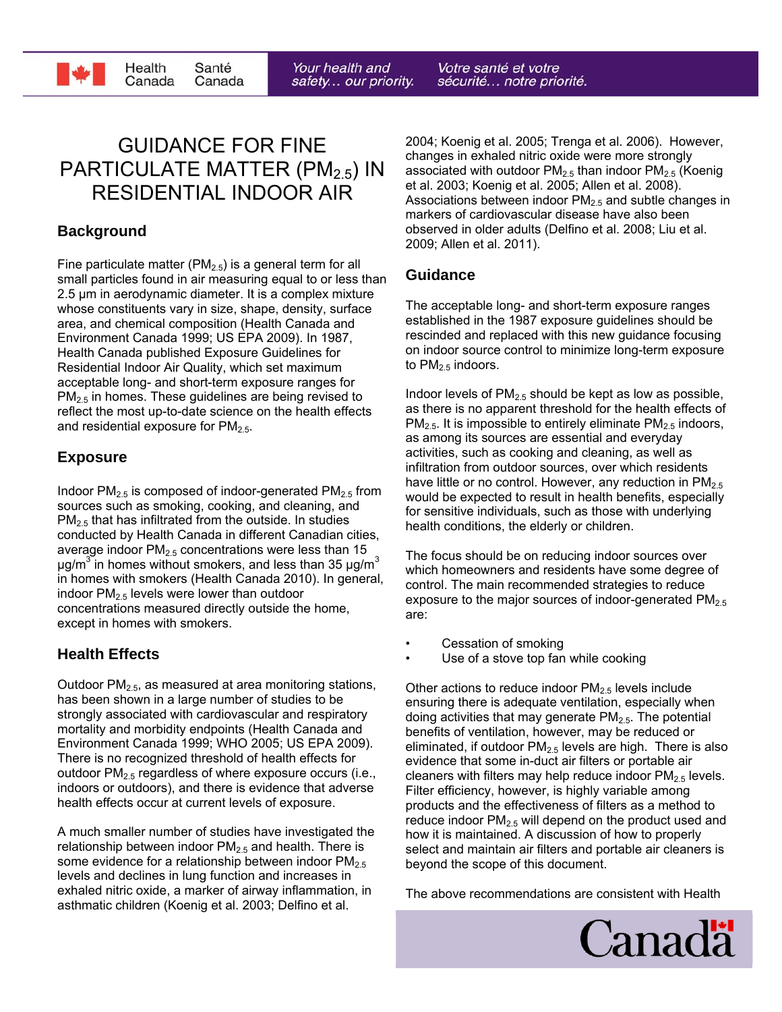

Votre santé et votre sécurité... notre priorité.

# GUIDANCE FOR FINE PARTICULATE MATTER (PM<sub>2.5</sub>) IN RESIDENTIAL INDOOR AIR

## **Background**

Fine particulate matter ( $PM<sub>2.5</sub>$ ) is a general term for all small particles found in air measuring equal to or less than 2.5 μm in aerodynamic diameter. It is a complex mixture whose constituents vary in size, shape, density, surface area, and chemical composition (Health Canada and Environment Canada 1999; US EPA 2009). In 1987, Health Canada published Exposure Guidelines for Residential Indoor Air Quality, which set maximum acceptable long- and short-term exposure ranges for  $PM<sub>2.5</sub>$  in homes. These guidelines are being revised to reflect the most up-to-date science on the health effects and residential exposure for  $PM<sub>2.5</sub>$ .

### **Exposure**

Indoor  $PM_{2.5}$  is composed of indoor-generated  $PM_{2.5}$  from sources such as smoking, cooking, and cleaning, and  $PM<sub>2.5</sub>$  that has infiltrated from the outside. In studies conducted by Health Canada in different Canadian cities, average indoor  $PM<sub>2.5</sub>$  concentrations were less than 15  $\mu$ g/m<sup>3</sup> in homes without smokers, and less than 35  $\mu$ g/m<sup>3</sup> in homes with smokers (Health Canada 2010). In general, indoor  $PM<sub>2.5</sub>$  levels were lower than outdoor concentrations measured directly outside the home, except in homes with smokers.

### **Health Effects**

Outdoor  $PM<sub>2.5</sub>$ , as measured at area monitoring stations, has been shown in a large number of studies to be strongly associated with cardiovascular and respiratory mortality and morbidity endpoints (Health Canada and Environment Canada 1999; WHO 2005; US EPA 2009). There is no recognized threshold of health effects for outdoor  $PM<sub>2.5</sub>$  regardless of where exposure occurs (i.e., indoors or outdoors), and there is evidence that adverse health effects occur at current levels of exposure.

A much smaller number of studies have investigated the relationship between indoor  $PM<sub>2.5</sub>$  and health. There is some evidence for a relationship between indoor  $PM<sub>2.5</sub>$ levels and declines in lung function and increases in exhaled nitric oxide, a marker of airway inflammation, in asthmatic children (Koenig et al. 2003; Delfino et al.

2004; Koenig et al. 2005; Trenga et al. 2006). However, changes in exhaled nitric oxide were more strongly associated with outdoor  $PM<sub>2.5</sub>$  than indoor  $PM<sub>2.5</sub>$  (Koenig et al. 2003; Koenig et al. 2005; Allen et al. 2008). Associations between indoor  $PM<sub>2.5</sub>$  and subtle changes in markers of cardiovascular disease have also been observed in older adults (Delfino et al. 2008; Liu et al. 2009; Allen et al. 2011).

#### **Guidance**

The acceptable long- and short-term exposure ranges established in the 1987 exposure guidelines should be rescinded and replaced with this new guidance focusing on indoor source control to minimize long-term exposure to  $PM<sub>2.5</sub>$  indoors.

Indoor levels of  $PM_{2.5}$  should be kept as low as possible, as there is no apparent threshold for the health effects of  $PM<sub>2.5</sub>$ . It is impossible to entirely eliminate  $PM<sub>2.5</sub>$  indoors, as among its sources are essential and everyday activities, such as cooking and cleaning, as well as infiltration from outdoor sources, over which residents have little or no control. However, any reduction in  $PM_{2.5}$ would be expected to result in health benefits, especially for sensitive individuals, such as those with underlying health conditions, the elderly or children.

The focus should be on reducing indoor sources over which homeowners and residents have some degree of control. The main recommended strategies to reduce exposure to the major sources of indoor-generated  $PM<sub>2.5</sub>$ are:

- Cessation of smoking
- Use of a stove top fan while cooking

Other actions to reduce indoor  $PM<sub>2.5</sub>$  levels include ensuring there is adequate ventilation, especially when doing activities that may generate  $PM<sub>2.5</sub>$ . The potential benefits of ventilation, however, may be reduced or eliminated, if outdoor  $PM<sub>2.5</sub>$  levels are high. There is also evidence that some in-duct air filters or portable air cleaners with filters may help reduce indoor  $PM<sub>2.5</sub>$  levels. Filter efficiency, however, is highly variable among products and the effectiveness of filters as a method to reduce indoor  $PM<sub>2.5</sub>$  will depend on the product used and how it is maintained. A discussion of how to properly select and maintain air filters and portable air cleaners is beyond the scope of this document.

The above recommendations are consistent with Health